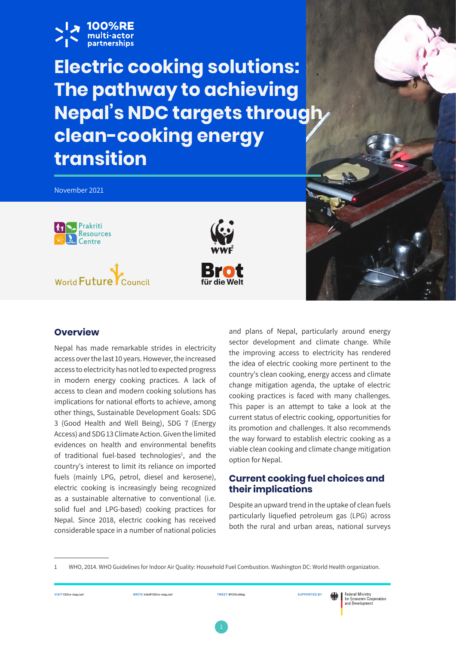

**Electric cooking solutions: The pathway to achieving Nepal's NDC targets through clean-cooking energy transition** 

November 2021 Prakriti **Resources** Centre **Brot** World Future

# **Overview**

Nepal has made remarkable strides in electricity access over the last 10 years. However, the increased access to electricity has not led to expected progress in modern energy cooking practices. A lack of access to clean and modern cooking solutions has implications for national efforts to achieve, among other things, Sustainable Development Goals: SDG 3 (Good Health and Well Being), SDG 7 (Energy Access) and SDG 13 Climate Action. Given the limited evidences on health and environmental benefits of traditional fuel-based technologies<sup>1</sup>, and the country's interest to limit its reliance on imported fuels (mainly LPG, petrol, diesel and kerosene), electric cooking is increasingly being recognized as a sustainable alternative to conventional (i.e. solid fuel and LPG-based) cooking practices for Nepal. Since 2018, electric cooking has received considerable space in a number of national policies

and plans of Nepal, particularly around energy sector development and climate change. While the improving access to electricity has rendered the idea of electric cooking more pertinent to the country's clean cooking, energy access and climate change mitigation agenda, the uptake of electric cooking practices is faced with many challenges. This paper is an attempt to take a look at the current status of electric cooking, opportunities for its promotion and challenges. It also recommends the way forward to establish electric cooking as a viable clean cooking and climate change mitigation option for Nepal.

## **Current cooking fuel choices and their implications**

Despite an upward trend in the uptake of clean fuels particularly liquefied petroleum gas (LPG) across both the rural and urban areas, national surveys

**VISIT** 100re-map.net **WRITE** info@100re-map.net **TWEET** @100reMap **SUPPORTED BY** 

WHO, 2014. WHO Guidelines for Indoor Air Quality: Household Fuel Combustion. Washington DC: World Health organization.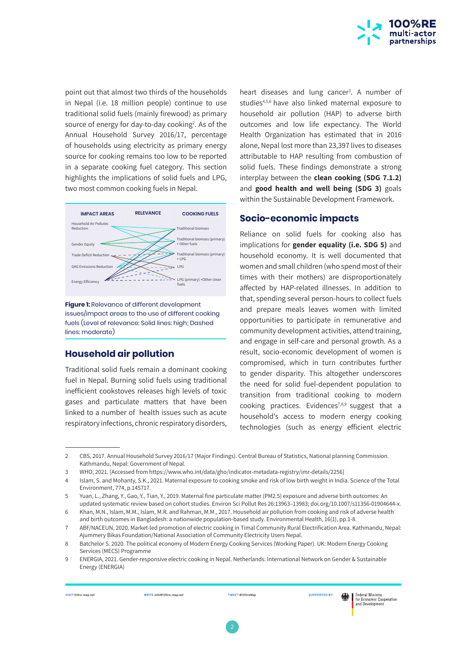

point out that almost two thirds of the households in Nepal (i.e. 18 million people) continue to use traditional solid fuels (mainly firewood) as primary source of energy for day-to-day cooking<sup>2</sup>. As of the Annual Household Survey 2016/17, percentage of households using electricity as primary energy source for cooking remains too low to be reported in a separate cooking fuel category. This section highlights the implications of solid fuels and LPG, two most common cooking fuels in Nepal.



**Figure 1:** Relevance of different development issues/impact areas to the use of different cooking fuels (Level of relevance: Solid lines: high; Dashed lines: moderate)

#### **Household air pollution**

Traditional solid fuels remain a dominant cooking fuel in Nepal. Burning solid fuels using traditional inefficient cookstoves releases high levels of toxic gases and particulate matters that have been linked to a number of health issues such as acute respiratory infections, chronic respiratory disorders,

heart diseases and lung cancer<sup>3</sup>. A number of studies4,5,6 have also linked maternal exposure to household air pollution (HAP) to adverse birth outcomes and low life expectancy. The World Health Organization has estimated that in 2016 alone, Nepal lost more than 23,397 lives to diseases attributable to HAP resulting from combustion of solid fuels. These findings demonstrate a strong interplay between the **clean cooking (SDG 7.1.2)** and **good health and well being (SDG 3)** goals within the Sustainable Development Framework.

## **Socio-economic impacts**

Reliance on solid fuels for cooking also has implications for **gender equality (i.e. SDG 5)** and household economy. It is well documented that women and small children (who spend most of their times with their mothers) are disproportionately affected by HAP-related illnesses. In addition to that, spending several person-hours to collect fuels and prepare meals leaves women with limited opportunities to participate in remunerative and community development activities, attend training, and engage in self-care and personal growth. As a result, socio-economic development of women is compromised, which in turn contributes further to gender disparity. This altogether underscores the need for solid fuel-dependent population to transition from traditional cooking to modern cooking practices. Evidences<sup>7,8,9</sup> suggest that a household's access to modern energy cooking technologies (such as energy efficient electric

<sup>2</sup> CBS, 2017. Annual Household Survey 2016/17 (Major Findings). Central Bureau of Statistics, National planning Commission. Kathmandu, Nepal: Government of Nepal.

<sup>3</sup> WHO, 2021. [Accessed from https://www.who.int/data/gho/indicator-metadata-registry/imr-details/2256]

<sup>4</sup> Islam, S. and Mohanty, S.K., 2021. Maternal exposure to cooking smoke and risk of low birth weight in India. Science of the Total Environment, 774, p.145717.

<sup>5</sup> Yuan, L., Zhang, Y., Gao, Y., Tian, Y., 2019. Maternal fine particulate matter (PM2.5) exposure and adverse birth outcomes: An updated systematic review based on cohort studies. Environ Sci Pollut Res 26:13963–13983; doi.org/10.1007/s11356-01904644-x.

<sup>6</sup> Khan, M.N., Islam, M.M., Islam, M.R. and Rahman, M.M., 2017. Household air pollution from cooking and risk of adverse health and birth outcomes in Bangladesh: a nationwide population-based study. Environmental Health, 16(1), pp.1-8.

<sup>7</sup> ABF/NACEUN, 2020. Market-led promotion of electric cooking in Timal Community Rural Electrification Area. Kathmandu, Nepal: Ajummery Bikas Foundation/National Association of Community Electricity Users Nepal.

<sup>8</sup> Batchelor S. 2020. The political economy of Modern Energy Cooking Services (Working Paper). UK: Modern Energy Cooking Services (MECS) Programme

<sup>9</sup> ENERGIA, 2021. Gender-responsive electric cooking in Nepal. Netherlands: International Network on Gender & Sustainable Energy (ENERGIA)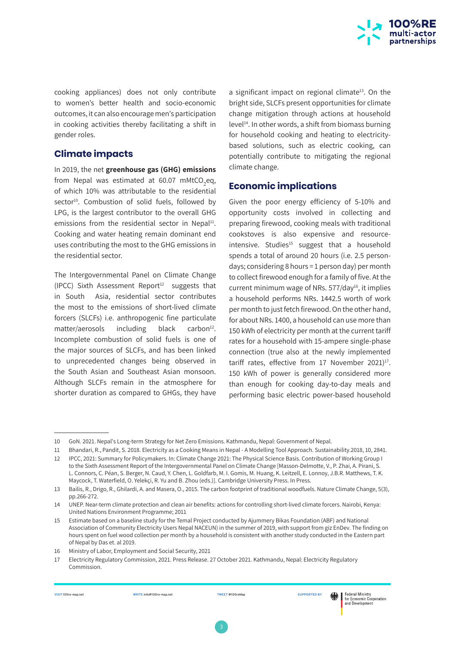

cooking appliances) does not only contribute to women's better health and socio-economic outcomes, it can also encourage men's participation in cooking activities thereby facilitating a shift in gender roles.

#### **Climate impacts**

In 2019, the net **greenhouse gas (GHG) emissions**  from Nepal was estimated at 60.07 mMtCO<sub>2</sub>eq, of which 10% was attributable to the residential sector<sup>10</sup>. Combustion of solid fuels, followed by LPG, is the largest contributor to the overall GHG emissions from the residential sector in Nepal $11$ . Cooking and water heating remain dominant end uses contributing the most to the GHG emissions in the residential sector.

The Intergovernmental Panel on Climate Change (IPCC) Sixth Assessment Report<sup>12</sup> suggests that in South Asia, residential sector contributes the most to the emissions of short-lived climate forcers (SLCFs) i.e. anthropogenic fine particulate matter/aerosols including black carbon<sup>12</sup>. Incomplete combustion of solid fuels is one of the major sources of SLCFs, and has been linked to unprecedented changes being observed in the South Asian and Southeast Asian monsoon. Although SLCFs remain in the atmosphere for shorter duration as compared to GHGs, they have

a significant impact on regional climate<sup>13</sup>. On the bright side, SLCFs present opportunities for climate change mitigation through actions at household level<sup>14</sup>. In other words, a shift from biomass burning for household cooking and heating to electricitybased solutions, such as electric cooking, can potentially contribute to mitigating the regional climate change.

## **Economic implications**

Given the poor energy efficiency of 5-10% and opportunity costs involved in collecting and preparing firewood, cooking meals with traditional cookstoves is also expensive and resourceintensive. Studies $15$  suggest that a household spends a total of around 20 hours (i.e. 2.5 persondays; considering 8 hours = 1 person day) per month to collect firewood enough for a family of five. At the current minimum wage of NRs.  $577$ /day<sup>16</sup>, it implies a household performs NRs. 1442.5 worth of work per month to just fetch firewood. On the other hand, for about NRs. 1400, a household can use more than 150 kWh of electricity per month at the current tariff rates for a household with 15-ampere single-phase connection (true also at the newly implemented tariff rates, effective from 17 November 2021) $17$ . 150 kWh of power is generally considered more than enough for cooking day-to-day meals and performing basic electric power-based household

※ |

<sup>10</sup> GoN. 2021. Nepal's Long-term Strategy for Net Zero Emissions. Kathmandu, Nepal: Government of Nepal.

<sup>11</sup> Bhandari, R., Pandit, S. 2018. Electricity as a Cooking Means in Nepal - A Modelling Tool Approach. Sustainability.2018, 10, 2841.

<sup>12</sup> IPCC, 2021: Summary for Policymakers. In: Climate Change 2021: The Physical Science Basis. Contribution of Working Group I to the Sixth Assessment Report of the Intergovernmental Panel on Climate Change [Masson-Delmotte, V., P. Zhai, A. Pirani, S. L. Connors, C. Péan, S. Berger, N. Caud, Y. Chen, L. Goldfarb, M. I. Gomis, M. Huang, K. Leitzell, E. Lonnoy, J.B.R. Matthews, T. K. Maycock, T. Waterfield, O. Yelekçi, R. Yu and B. Zhou (eds.)]. Cambridge University Press. In Press.

<sup>13</sup> Bailis, R., Drigo, R., Ghilardi, A. and Masera, O., 2015. The carbon footprint of traditional woodfuels. Nature Climate Change, 5(3), pp.266-272.

<sup>14</sup> UNEP. Near-term climate protection and clean air benefits: actions for controlling short-lived climate forcers. Nairobi, Kenya: United Nations Environment Programme; 2011

<sup>15</sup> Estimate based on a baseline study for the Temal Project conducted by Ajummery Bikas Foundation (ABF) and National Association of Community Electricity Users Nepal NACEUN) in the summer of 2019, with support from giz EnDev. The finding on hours spent on fuel wood collection per month by a household is consistent with another study conducted in the Eastern part of Nepal by Das et. al 2019.

<sup>16</sup> Ministry of Labor, Employment and Social Security, 2021

<sup>17</sup> Electricity Regulatory Commission, 2021. Press Release. 27 October 2021. Kathmandu, Nepal: Electricity Regulatory Commission.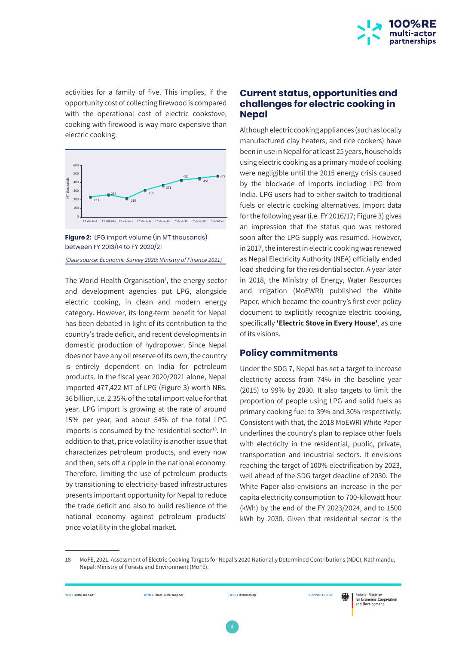

activities for a family of five. This implies, if the opportunity cost of collecting firewood is compared with the operational cost of electric cookstove, cooking with firewood is way more expensive than electric cooking.



**Figure 2:** LPG import volume (in MT thousands) between FY 2013/14 to FY 2020/21

(Data source: Economic Survey 2020; Ministry of Finance 2021)

The World Health Organisation<sup>1</sup>, the energy sector and development agencies put LPG, alongside electric cooking, in clean and modern energy category. However, its long-term benefit for Nepal has been debated in light of its contribution to the country's trade deficit, and recent developments in domestic production of hydropower. Since Nepal does not have any oil reserve of its own, the country is entirely dependent on India for petroleum products. In the fiscal year 2020/2021 alone, Nepal imported 477,422 MT of LPG (Figure 3) worth NRs. 36 billion, i.e. 2.35% of the total import value for that year. LPG import is growing at the rate of around 15% per year, and about 54% of the total LPG imports is consumed by the residential sector $18$ . In addition to that, price volatility is another issue that characterizes petroleum products, and every now and then, sets off a ripple in the national economy. Therefore, limiting the use of petroleum products by transitioning to electricity-based infrastructures presents important opportunity for Nepal to reduce the trade deficit and also to build resilience of the national economy against petroleum products' price volatility in the global market.

#### **Current status, opportunities and challenges for electric cooking in Nepal**

Although electric cooking appliances (such as locally manufactured clay heaters, and rice cookers) have been in use in Nepal for at least 25 years, households using electric cooking as a primary mode of cooking were negligible until the 2015 energy crisis caused by the blockade of imports including LPG from India. LPG users had to either switch to traditional fuels or electric cooking alternatives. Import data for the following year (i.e. FY 2016/17; Figure 3) gives an impression that the status quo was restored soon after the LPG supply was resumed. However, in 2017, the interest in electric cooking was renewed as Nepal Electricity Authority (NEA) officially ended load shedding for the residential sector. A year later in 2018, the Ministry of Energy, Water Resources and Irrigation (MoEWRI) published the White Paper, which became the country's first ever policy document to explicitly recognize electric cooking, specifically **'Electric Stove in Every House'**, as one of its visions.

#### **Policy commitments**

Under the SDG 7, Nepal has set a target to increase electricity access from 74% in the baseline year (2015) to 99% by 2030. It also targets to limit the proportion of people using LPG and solid fuels as primary cooking fuel to 39% and 30% respectively. Consistent with that, the 2018 MoEWRI White Paper underlines the country's plan to replace other fuels with electricity in the residential, public, private, transportation and industrial sectors. It envisions reaching the target of 100% electrification by 2023, well ahead of the SDG target deadline of 2030. The White Paper also envisions an increase in the per capita electricity consumption to 700-kilowatt hour (kWh) by the end of the FY 2023/2024, and to 1500 kWh by 2030. Given that residential sector is the

18 MoFE, 2021. Assessment of Electric Cooking Targets for Nepal's 2020 Nationally Determined Contributions (NDC), Kathmandu, Nepal: Ministry of Forests and Environment (MoFE).

**VISIT** 100re-map.net **WRITE** info@100re-map.net **TWEET** @100reMap **SUPPORTED BY**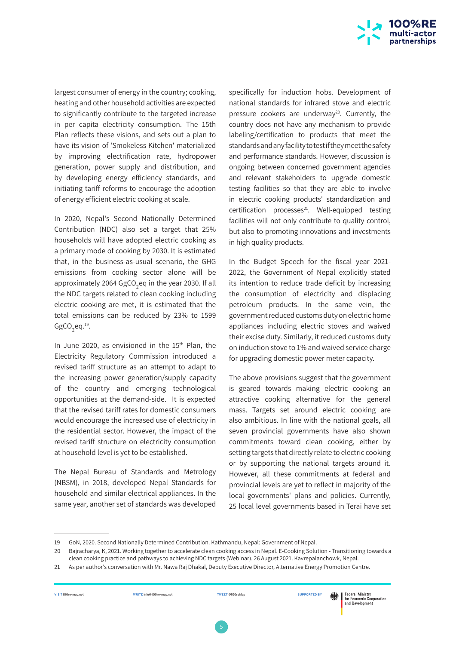

largest consumer of energy in the country; cooking, heating and other household activities are expected to significantly contribute to the targeted increase in per capita electricity consumption. The 15th Plan reflects these visions, and sets out a plan to have its vision of 'Smokeless Kitchen' materialized by improving electrification rate, hydropower generation, power supply and distribution, and by developing energy efficiency standards, and initiating tariff reforms to encourage the adoption of energy efficient electric cooking at scale.

In 2020, Nepal's Second Nationally Determined Contribution (NDC) also set a target that 25% households will have adopted electric cooking as a primary mode of cooking by 2030. It is estimated that, in the business-as-usual scenario, the GHG emissions from cooking sector alone will be approximately 2064 GgCO<sub>2</sub>eq in the year 2030. If all the NDC targets related to clean cooking including electric cooking are met, it is estimated that the total emissions can be reduced by 23% to 1599  $GgCO_2$ eq. $^{19}$ .

In June 2020, as envisioned in the  $15<sup>th</sup>$  Plan, the Electricity Regulatory Commission introduced a revised tariff structure as an attempt to adapt to the increasing power generation/supply capacity of the country and emerging technological opportunities at the demand-side. It is expected that the revised tariff rates for domestic consumers would encourage the increased use of electricity in the residential sector. However, the impact of the revised tariff structure on electricity consumption at household level is yet to be established.

The Nepal Bureau of Standards and Metrology (NBSM), in 2018, developed Nepal Standards for household and similar electrical appliances. In the same year, another set of standards was developed

specifically for induction hobs. Development of national standards for infrared stove and electric pressure cookers are underway<sup>20</sup>. Currently, the country does not have any mechanism to provide labeling/certification to products that meet the standards and any facility to test if they meet the safety and performance standards. However, discussion is ongoing between concerned government agencies and relevant stakeholders to upgrade domestic testing facilities so that they are able to involve in electric cooking products' standardization and  $c$ ertification processes $^{21}$ . Well-equipped testing facilities will not only contribute to quality control, but also to promoting innovations and investments in high quality products.

In the Budget Speech for the fiscal year 2021- 2022, the Government of Nepal explicitly stated its intention to reduce trade deficit by increasing the consumption of electricity and displacing petroleum products. In the same vein, the government reduced customs duty on electric home appliances including electric stoves and waived their excise duty. Similarly, it reduced customs duty on induction stove to 1% and waived service charge for upgrading domestic power meter capacity.

The above provisions suggest that the government is geared towards making electric cooking an attractive cooking alternative for the general mass. Targets set around electric cooking are also ambitious. In line with the national goals, all seven provincial governments have also shown commitments toward clean cooking, either by setting targets that directly relate to electric cooking or by supporting the national targets around it. However, all these commitments at federal and provincial levels are yet to reflect in majority of the local governments' plans and policies. Currently, 25 local level governments based in Terai have set

**VISIT** 100re-map.net **WRITE** info@100re-map.net **TWEET** @100reMap **SUPPORTED BY** 

<sup>19</sup> GoN, 2020. Second Nationally Determined Contribution. Kathmandu, Nepal: Government of Nepal.

<sup>20</sup> Bajracharya, K, 2021. Working together to accelerate clean cooking access in Nepal. E-Cooking Solution - Transitioning towards a clean cooking practice and pathways to achieving NDC targets (Webinar). 26 August 2021. Kavrepalanchowk, Nepal.

<sup>21</sup> As per author's conversation with Mr. Nawa Raj Dhakal, Deputy Executive Director, Alternative Energy Promotion Centre.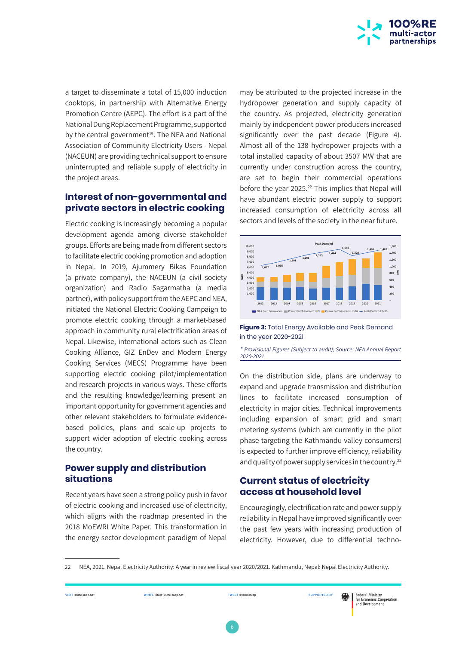

a target to disseminate a total of 15,000 induction cooktops, in partnership with Alternative Energy Promotion Centre (AEPC). The effort is a part of the National Dung Replacement Programme, supported by the central government<sup>19</sup>. The NEA and National Association of Community Electricity Users - Nepal (NACEUN) are providing technical support to ensure uninterrupted and reliable supply of electricity in the project areas.

## **Interest of non-governmental and private sectors in electric cooking**

Electric cooking is increasingly becoming a popular development agenda among diverse stakeholder groups. Efforts are being made from different sectors to facilitate electric cooking promotion and adoption in Nepal. In 2019, Ajummery Bikas Foundation (a private company), the NACEUN (a civil society organization) and Radio Sagarmatha (a media partner), with policy support from the AEPC and NEA, initiated the National Electric Cooking Campaign to promote electric cooking through a market-based approach in community rural electrification areas of Nepal. Likewise, international actors such as Clean Cooking Alliance, GIZ EnDev and Modern Energy Cooking Services (MECS) Programme have been supporting electric cooking pilot/implementation and research projects in various ways. These efforts and the resulting knowledge/learning present an important opportunity for government agencies and other relevant stakeholders to formulate evidencebased policies, plans and scale-up projects to support wider adoption of electric cooking across the country.

## **Power supply and distribution situations**

Recent years have seen a strong policy push in favor of electric cooking and increased use of electricity, which aligns with the roadmap presented in the 2018 MoEWRI White Paper. This transformation in the energy sector development paradigm of Nepal

may be attributed to the projected increase in the hydropower generation and supply capacity of the country. As projected, electricity generation mainly by independent power producers increased significantly over the past decade (Figure 4). Almost all of the 138 hydropower projects with a total installed capacity of about 3507 MW that are currently under construction across the country, are set to begin their commercial operations before the year 2025.<sup>22</sup> This implies that Nepal will have abundant electric power supply to support increased consumption of electricity across all sectors and levels of the society in the near future.





\* Provisional Figures (Subject to audit); Source: NEA Annual Report 2020-2021

On the distribution side, plans are underway to expand and upgrade transmission and distribution lines to facilitate increased consumption of electricity in major cities. Technical improvements including expansion of smart grid and smart metering systems (which are currently in the pilot phase targeting the Kathmandu valley consumers) is expected to further improve efficiency, reliability and quality of power supply services in the country.<sup>22</sup>

## **Current status of electricity access at household level**

Encouragingly, electrification rate and power supply reliability in Nepal have improved significantly over the past few years with increasing production of electricity. However, due to differential techno-



<sup>22</sup> NEA, 2021. Nepal Electricity Authority: A year in review fiscal year 2020/2021. Kathmandu, Nepal: Nepal Electricity Authority.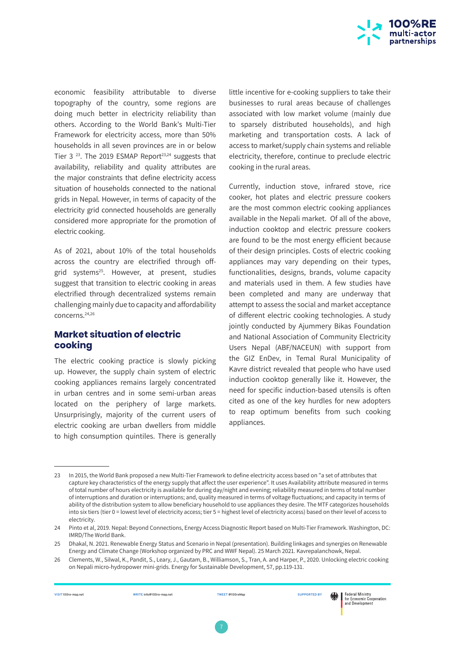

economic feasibility attributable to diverse topography of the country, some regions are doing much better in electricity reliability than others. According to the World Bank's Multi-Tier Framework for electricity access, more than 50% households in all seven provinces are in or below Tier 3 $^{23}$ . The 2019 ESMAP Report<sup>23,24</sup> suggests that availability, reliability and quality attributes are the major constraints that define electricity access situation of households connected to the national grids in Nepal. However, in terms of capacity of the electricity grid connected households are generally considered more appropriate for the promotion of electric cooking.

As of 2021, about 10% of the total households across the country are electrified through offgrid systems<sup>25</sup>. However, at present, studies suggest that transition to electric cooking in areas electrified through decentralized systems remain challenging mainly due to capacity and affordability concerns.24,26

## **Market situation of electric cooking**

The electric cooking practice is slowly picking up. However, the supply chain system of electric cooking appliances remains largely concentrated in urban centres and in some semi-urban areas located on the periphery of large markets. Unsurprisingly, majority of the current users of electric cooking are urban dwellers from middle to high consumption quintiles. There is generally

little incentive for e-cooking suppliers to take their businesses to rural areas because of challenges associated with low market volume (mainly due to sparsely distributed households), and high marketing and transportation costs. A lack of access to market/supply chain systems and reliable electricity, therefore, continue to preclude electric cooking in the rural areas.

Currently, induction stove, infrared stove, rice cooker, hot plates and electric pressure cookers are the most common electric cooking appliances available in the Nepali market. Of all of the above, induction cooktop and electric pressure cookers are found to be the most energy efficient because of their design principles. Costs of electric cooking appliances may vary depending on their types, functionalities, designs, brands, volume capacity and materials used in them. A few studies have been completed and many are underway that attempt to assess the social and market acceptance of different electric cooking technologies. A study jointly conducted by Ajummery Bikas Foundation and National Association of Community Electricity Users Nepal (ABF/NACEUN) with support from the GIZ EnDev, in Temal Rural Municipality of Kavre district revealed that people who have used induction cooktop generally like it. However, the need for specific induction-based utensils is often cited as one of the key hurdles for new adopters to reap optimum benefits from such cooking appliances.

※ |

<sup>23</sup> In 2015, the World Bank proposed a new Multi-Tier Framework to define electricity access based on "a set of attributes that capture key characteristics of the energy supply that affect the user experience". It uses Availability attribute measured in terms of total number of hours electricity is available for during day/night and evening; reliability measured in terms of total number of interruptions and duration or interruptions; and, quality measured in terms of voltage fluctuations; and capacity in terms of ability of the distribution system to allow beneficiary household to use appliances they desire. The MTF categorizes households into six tiers (tier 0 = lowest level of electricity access; tier 5 = highest level of electricity access) based on their level of access to electricity.

<sup>24</sup> Pinto et al, 2019. Nepal: Beyond Connections, Energy Access Diagnostic Report based on Multi-Tier Framework. Washington, DC: IMRD/The World Bank.

<sup>25</sup> Dhakal, N. 2021. Renewable Energy Status and Scenario in Nepal (presentation). Building linkages and synergies on Renewable Energy and Climate Change (Workshop organized by PRC and WWF Nepal). 25 March 2021. Kavrepalanchowk, Nepal.

<sup>26</sup> Clements, W., Silwal, K., Pandit, S., Leary, J., Gautam, B., Williamson, S., Tran, A. and Harper, P., 2020. Unlocking electric cooking on Nepali micro-hydropower mini-grids. Energy for Sustainable Development, 57, pp.119-131.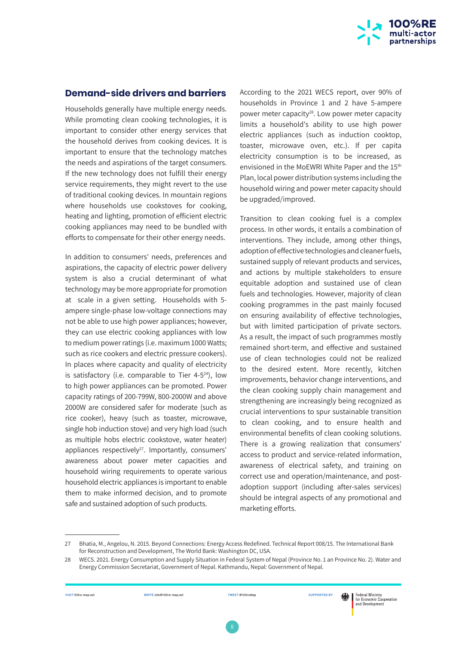

#### **Demand-side drivers and barriers**

Households generally have multiple energy needs. While promoting clean cooking technologies, it is important to consider other energy services that the household derives from cooking devices. It is important to ensure that the technology matches the needs and aspirations of the target consumers. If the new technology does not fulfill their energy service requirements, they might revert to the use of traditional cooking devices. In mountain regions where households use cookstoves for cooking, heating and lighting, promotion of efficient electric cooking appliances may need to be bundled with efforts to compensate for their other energy needs.

In addition to consumers' needs, preferences and aspirations, the capacity of electric power delivery system is also a crucial determinant of what technology may be more appropriate for promotion at scale in a given setting. Households with 5 ampere single-phase low-voltage connections may not be able to use high power appliances; however, they can use electric cooking appliances with low to medium power ratings (i.e. maximum 1000 Watts; such as rice cookers and electric pressure cookers). In places where capacity and quality of electricity is satisfactory (i.e. comparable to Tier  $4-5^{24}$ ), low to high power appliances can be promoted. Power capacity ratings of 200-799W, 800-2000W and above 2000W are considered safer for moderate (such as rice cooker), heavy (such as toaster, microwave, single hob induction stove) and very high load (such as multiple hobs electric cookstove, water heater) appliances respectively $^{27}$ . Importantly, consumers' awareness about power meter capacities and household wiring requirements to operate various household electric appliances is important to enable them to make informed decision, and to promote safe and sustained adoption of such products.

According to the 2021 WECS report, over 90% of households in Province 1 and 2 have 5-ampere power meter capacity<sup>28</sup>. Low power meter capacity limits a household's ability to use high power electric appliances (such as induction cooktop, toaster, microwave oven, etc.). If per capita electricity consumption is to be increased, as envisioned in the MoEWRI White Paper and the 15<sup>th</sup> Plan, local power distribution systems including the household wiring and power meter capacity should be upgraded/improved.

Transition to clean cooking fuel is a complex process. In other words, it entails a combination of interventions. They include, among other things, adoption of effective technologies and cleaner fuels, sustained supply of relevant products and services, and actions by multiple stakeholders to ensure equitable adoption and sustained use of clean fuels and technologies. However, majority of clean cooking programmes in the past mainly focused on ensuring availability of effective technologies, but with limited participation of private sectors. As a result, the impact of such programmes mostly remained short-term, and effective and sustained use of clean technologies could not be realized to the desired extent. More recently, kitchen improvements, behavior change interventions, and the clean cooking supply chain management and strengthening are increasingly being recognized as crucial interventions to spur sustainable transition to clean cooking, and to ensure health and environmental benefits of clean cooking solutions. There is a growing realization that consumers' access to product and service-related information, awareness of electrical safety, and training on correct use and operation/maintenance, and postadoption support (including after-sales services) should be integral aspects of any promotional and marketing efforts.



<sup>27</sup> Bhatia, M., Angelou, N. 2015. Beyond Connections: Energy Access Redefined. Technical Report 008/15. The International Bank for Reconstruction and Development, The World Bank: Washington DC, USA.

<sup>28</sup> WECS. 2021. Energy Consumption and Supply Situation in Federal System of Nepal (Province No. 1 an Province No. 2). Water and Energy Commission Secretariat, Government of Nepal. Kathmandu, Nepal: Government of Nepal.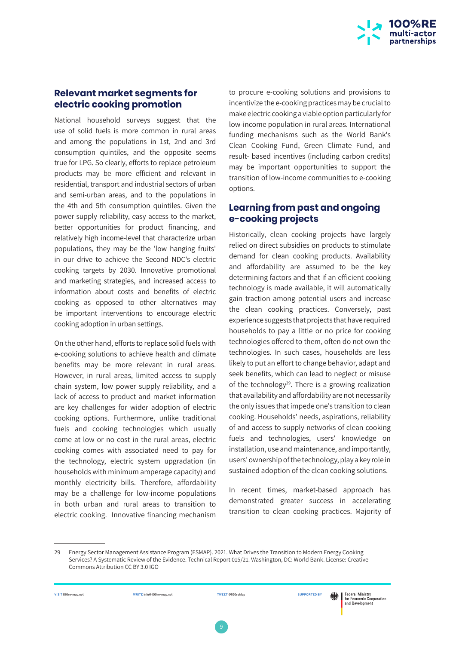

#### **Relevant market segments for electric cooking promotion**

National household surveys suggest that the use of solid fuels is more common in rural areas and among the populations in 1st, 2nd and 3rd consumption quintiles, and the opposite seems true for LPG. So clearly, efforts to replace petroleum products may be more efficient and relevant in residential, transport and industrial sectors of urban and semi-urban areas, and to the populations in the 4th and 5th consumption quintiles. Given the power supply reliability, easy access to the market, better opportunities for product financing, and relatively high income-level that characterize urban populations, they may be the 'low hanging fruits' in our drive to achieve the Second NDC's electric cooking targets by 2030. Innovative promotional and marketing strategies, and increased access to information about costs and benefits of electric cooking as opposed to other alternatives may be important interventions to encourage electric cooking adoption in urban settings.

On the other hand, efforts to replace solid fuels with e-cooking solutions to achieve health and climate benefits may be more relevant in rural areas. However, in rural areas, limited access to supply chain system, low power supply reliability, and a lack of access to product and market information are key challenges for wider adoption of electric cooking options. Furthermore, unlike traditional fuels and cooking technologies which usually come at low or no cost in the rural areas, electric cooking comes with associated need to pay for the technology, electric system upgradation (in households with minimum amperage capacity) and monthly electricity bills. Therefore, affordability may be a challenge for low-income populations in both urban and rural areas to transition to electric cooking. Innovative financing mechanism

to procure e-cooking solutions and provisions to incentivize the e-cooking practices may be crucial to make electric cooking a viable option particularly for low-income population in rural areas. International funding mechanisms such as the World Bank's Clean Cooking Fund, Green Climate Fund, and result- based incentives (including carbon credits) may be important opportunities to support the transition of low-income communities to e-cooking options.

## **Learning from past and ongoing e-cooking projects**

Historically, clean cooking projects have largely relied on direct subsidies on products to stimulate demand for clean cooking products. Availability and affordability are assumed to be the key determining factors and that if an efficient cooking technology is made available, it will automatically gain traction among potential users and increase the clean cooking practices. Conversely, past experience suggests that projects that have required households to pay a little or no price for cooking technologies offered to them, often do not own the technologies. In such cases, households are less likely to put an effort to change behavior, adapt and seek benefits, which can lead to neglect or misuse of the technology<sup>29</sup>. There is a growing realization that availability and affordability are not necessarily the only issues that impede one's transition to clean cooking. Households' needs, aspirations, reliability of and access to supply networks of clean cooking fuels and technologies, users' knowledge on installation, use and maintenance, and importantly, users' ownership of the technology, play a key role in sustained adoption of the clean cooking solutions.

In recent times, market-based approach has demonstrated greater success in accelerating transition to clean cooking practices. Majority of

※ |

#### **VISIT** 100re-map.net **WRITE** info@100re-map.net **TWEET** @100reMap **SUPPORTED BY**

9

<sup>29</sup> Energy Sector Management Assistance Program (ESMAP). 2021. What Drives the Transition to Modern Energy Cooking Services? A Systematic Review of the Evidence. Technical Report 015/21. Washington, DC: World Bank. License: Creative Commons Attribution CC BY 3.0 IGO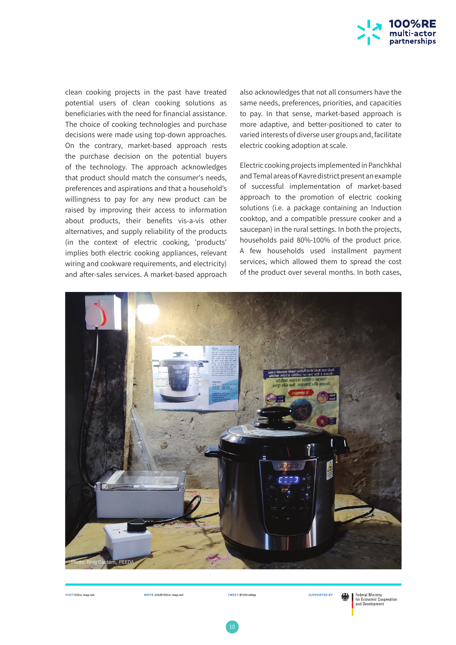

clean cooking projects in the past have treated potential users of clean cooking solutions as beneficiaries with the need for financial assistance. The choice of cooking technologies and purchase decisions were made using top-down approaches. On the contrary, market-based approach rests the purchase decision on the potential buyers of the technology. The approach acknowledges that product should match the consumer's needs, preferences and aspirations and that a household's willingness to pay for any new product can be raised by improving their access to information about products, their benefits vis-a-vis other alternatives, and supply reliability of the products (in the context of electric cooking, 'products' implies both electric cooking appliances, relevant wiring and cookware requirements, and electricity) and after-sales services. A market-based approach

also acknowledges that not all consumers have the same needs, preferences, priorities, and capacities to pay. In that sense, market-based approach is more adaptive, and better-positioned to cater to varied interests of diverse user groups and, facilitate electric cooking adoption at scale.

Electric cooking projects implemented in Panchkhal and Temal areas of Kavre district present an example of successful implementation of market-based approach to the promotion of electric cooking solutions (i.e. a package containing an Induction cooktop, and a compatible pressure cooker and a saucepan) in the rural settings. In both the projects, households paid 80%-100% of the product price. A few households used installment payment services, which allowed them to spread the cost of the product over several months. In both cases,

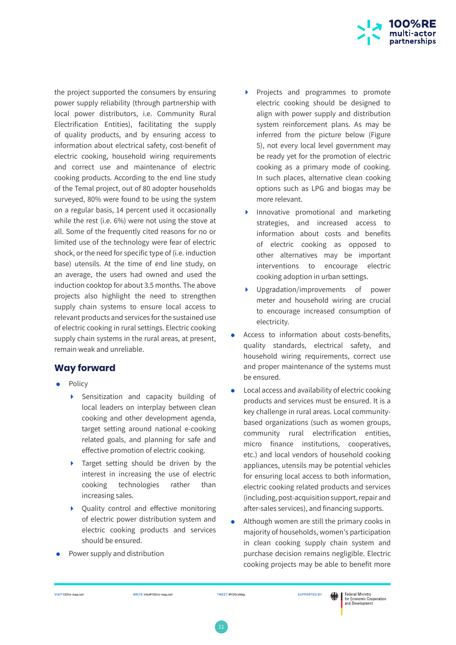

the project supported the consumers by ensuring power supply reliability (through partnership with local power distributors, i.e. Community Rural Electrification Entities), facilitating the supply of quality products, and by ensuring access to information about electrical safety, cost-benefit of electric cooking, household wiring requirements and correct use and maintenance of electric cooking products. According to the end line study of the Temal project, out of 80 adopter households surveyed, 80% were found to be using the system on a regular basis, 14 percent used it occasionally while the rest (i.e. 6%) were not using the stove at all. Some of the frequently cited reasons for no or limited use of the technology were fear of electric shock, or the need for specific type of (i.e. induction base) utensils. At the time of end line study, on an average, the users had owned and used the induction cooktop for about 3.5 months. The above projects also highlight the need to strengthen supply chain systems to ensure local access to relevant products and services for the sustained use of electric cooking in rural settings. Electric cooking supply chain systems in the rural areas, at present, remain weak and unreliable.

## **Way forward**

- Policy
	- Sensitization and capacity building of local leaders on interplay between clean cooking and other development agenda, target setting around national e-cooking related goals, and planning for safe and effective promotion of electric cooking.
	- Target setting should be driven by the interest in increasing the use of electric cooking technologies rather than increasing sales.
	- Quality control and effective monitoring of electric power distribution system and electric cooking products and services should be ensured.
- Power supply and distribution
- Projects and programmes to promote electric cooking should be designed to align with power supply and distribution system reinforcement plans. As may be inferred from the picture below (Figure 5), not every local level government may be ready yet for the promotion of electric cooking as a primary mode of cooking. In such places, alternative clean cooking options such as LPG and biogas may be more relevant.
- Innovative promotional and marketing strategies, and increased access to information about costs and benefits of electric cooking as opposed to other alternatives may be important interventions to encourage electric cooking adoption in urban settings.
- Upgradation/improvements of power meter and household wiring are crucial to encourage increased consumption of electricity.
- Access to information about costs-benefits, quality standards, electrical safety, and household wiring requirements, correct use and proper maintenance of the systems must be ensured.
- Local access and availability of electric cooking products and services must be ensured. It is a key challenge in rural areas. Local communitybased organizations (such as women groups, community rural electrification entities, micro finance institutions, cooperatives, etc.) and local vendors of household cooking appliances, utensils may be potential vehicles for ensuring local access to both information, electric cooking related products and services (including, post-acquisition support, repair and after-sales services), and financing supports.
- Although women are still the primary cooks in majority of households, women's participation in clean cooking supply chain system and purchase decision remains negligible. Electric cooking projects may be able to benefit more